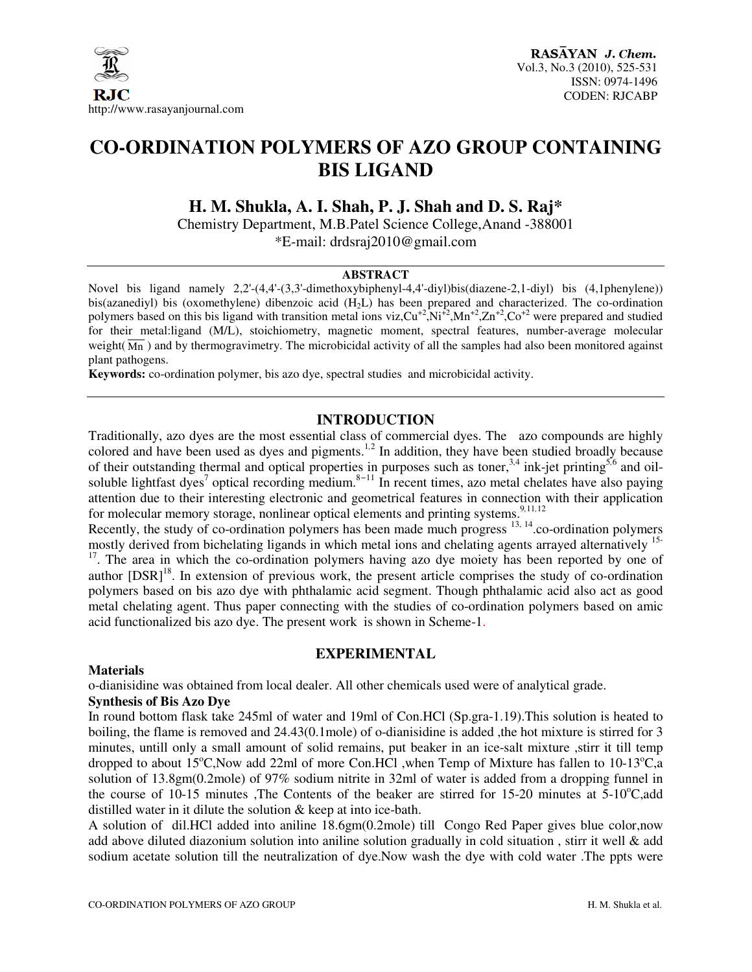

# **CO-ORDINATION POLYMERS OF AZO GROUP CONTAINING BIS LIGAND**

**H. M. Shukla, A. I. Shah, P. J. Shah and D. S. Raj\***

Chemistry Department, M.B.Patel Science College,Anand -388001 \*E-mail: drdsraj2010@gmail.com

#### **ABSTRACT**

Novel bis ligand namely 2,2'-(4,4'-(3,3'-dimethoxybiphenyl-4,4'-diyl)bis(diazene-2,1-diyl) bis (4,1phenylene)) bis(azanediyl) bis (oxomethylene) dibenzoic acid (H2L) has been prepared and characterized. The co-ordination polymers based on this bis ligand with transition metal ions viz, $Cu^{+2}$ , $Ni^{+2}$ , $Mn^{+2}$ , $Zn^{+2}$ , $Co^{+2}$  were prepared and studied for their metal:ligand (M/L), stoichiometry, magnetic moment, spectral features, number-average molecular weight( $\overline{M_n}$ ) and by thermogravimetry. The microbicidal activity of all the samples had also been monitored against plant pathogens.

**Keywords:** co-ordination polymer, bis azo dye, spectral studies and microbicidal activity.

#### **INTRODUCTION**

Traditionally, azo dyes are the most essential class of commercial dyes. The azo compounds are highly colored and have been used as dyes and pigments.<sup>1,2</sup> In addition, they have been studied broadly because of their outstanding thermal and optical properties in purposes such as toner,<sup>3,4</sup> ink-jet printing<sup>5,6</sup> and oilsoluble lightfast dyes<sup>7</sup> optical recording medium.<sup>8–11</sup> In recent times, azo metal chelates have also paying attention due to their interesting electronic and geometrical features in connection with their application for molecular memory storage, nonlinear optical elements and printing systems.<sup>9</sup>*,*11*,*<sup>12</sup>

Recently, the study of co-ordination polymers has been made much progress  $^{13, 14}$ .co-ordination polymers mostly derived from bichelating ligands in which metal ions and chelating agents arrayed alternatively <sup>15-</sup>  $17$ . The area in which the co-ordination polymers having azo dye moiety has been reported by one of author [DSR]<sup>18</sup>. In extension of previous work, the present article comprises the study of co-ordination polymers based on bis azo dye with phthalamic acid segment. Though phthalamic acid also act as good metal chelating agent. Thus paper connecting with the studies of co-ordination polymers based on amic acid functionalized bis azo dye. The present work is shown in Scheme-1.

#### **EXPERIMENTAL**

#### **Materials**

o-dianisidine was obtained from local dealer. All other chemicals used were of analytical grade.

#### **Synthesis of Bis Azo Dye**

In round bottom flask take 245ml of water and 19ml of Con.HCl (Sp.gra-1.19).This solution is heated to boiling, the flame is removed and 24.43(0.1mole) of o-dianisidine is added ,the hot mixture is stirred for 3 minutes, untill only a small amount of solid remains, put beaker in an ice-salt mixture ,stirr it till temp dropped to about  $15^{\circ}$ C,Now add 22ml of more Con.HCl ,when Temp of Mixture has fallen to  $10\text{-}13^{\circ}$ C,a solution of 13.8gm(0.2mole) of 97% sodium nitrite in 32ml of water is added from a dropping funnel in the course of 10-15 minutes ,The Contents of the beaker are stirred for 15-20 minutes at  $5\text{-}10^{\circ}\text{C}$ ,add distilled water in it dilute the solution & keep at into ice-bath.

A solution of dil.HCl added into aniline 18.6gm(0.2mole) till Congo Red Paper gives blue color,now add above diluted diazonium solution into aniline solution gradually in cold situation , stirr it well & add sodium acetate solution till the neutralization of dye.Now wash the dye with cold water .The ppts were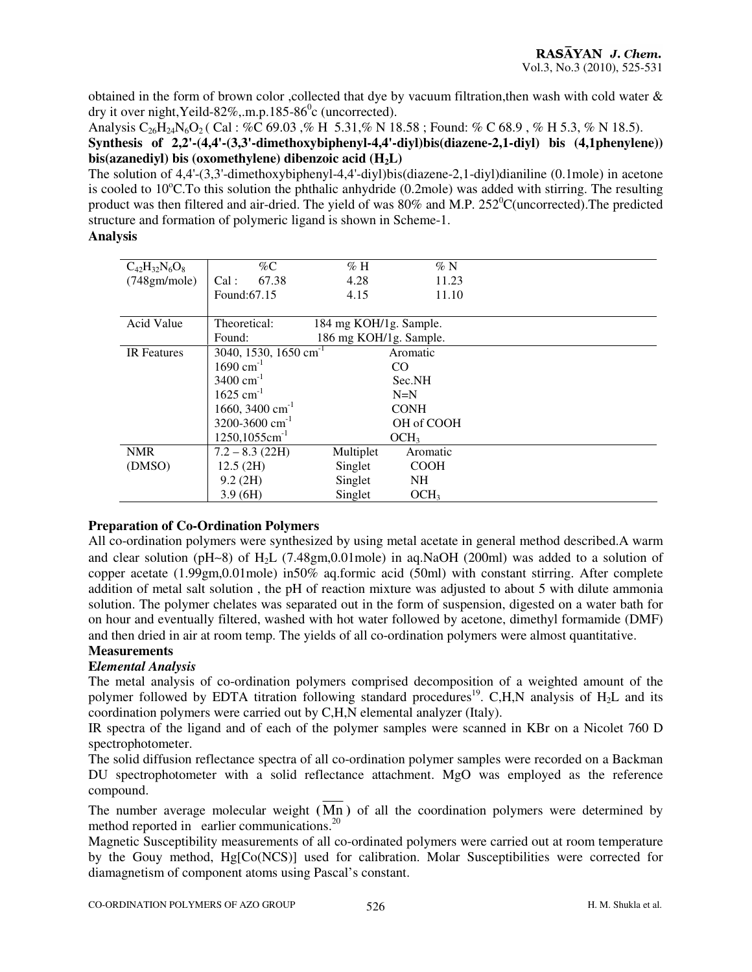obtained in the form of brown color ,collected that dye by vacuum filtration,then wash with cold water & dry it over night, Yeild-82%, m.p.185-86 $^0$ c (uncorrected).

Analysis  $C_{26}H_{24}N_6O_2$  ( Cal : %C 69.03 ,% H 5.31,% N 18.58 ; Found: % C 68.9 , % H 5.3, % N 18.5). **Synthesis of 2,2'-(4,4'-(3,3'-dimethoxybiphenyl-4,4'-diyl)bis(diazene-2,1-diyl) bis (4,1phenylene)) bis(azanediyl) bis (oxomethylene) dibenzoic acid (H2L)** 

The solution of 4,4'-(3,3'-dimethoxybiphenyl-4,4'-diyl)bis(diazene-2,1-diyl)dianiline (0.1mole) in acetone is cooled to  $10^{\circ}$ C. To this solution the phthalic anhydride (0.2mole) was added with stirring. The resulting product was then filtered and air-dried. The yield of was  $80\%$  and M.P.  $252^{\circ}$ C(uncorrected). The predicted structure and formation of polymeric ligand is shown in Scheme-1.

#### **Analysis**

| $\%C$<br>$\%$ H<br>$\%$ N<br>$C_{42}H_{32}N_6O_8$<br>(748gm/mole)<br>67.38<br>4.28<br>11.23<br>Cal :<br>Found: 67.15<br>4.15<br>11.10<br>Theoretical:<br>Acid Value<br>184 mg KOH/1g. Sample.<br>186 mg KOH/1g. Sample.<br>Found:<br>3040, 1530, 1650 cm <sup>-1</sup><br><b>IR</b> Features<br>Aromatic<br>$1690 \text{ cm}^{-1}$<br>CO<br>$3400 \text{ cm}^{-1}$<br>Sec.NH<br>$1625$ cm <sup>-1</sup><br>$N=N$<br>1660, 3400 cm <sup>-1</sup><br><b>CONH</b><br>3200-3600 cm <sup>-1</sup><br>OH of COOH<br>$1250, 1055$ cm <sup>-1</sup><br>OCH <sub>3</sub><br><b>NMR</b><br>$7.2 - 8.3$ (22H)<br>Multiplet<br>Aromatic<br>(DMSO)<br>12.5(2H)<br>Singlet<br><b>COOH</b><br>Singlet<br>9.2 (2H)<br><b>NH</b><br>Singlet<br>OCH <sub>3</sub><br>3.9(6H) |  |  |  |
|-----------------------------------------------------------------------------------------------------------------------------------------------------------------------------------------------------------------------------------------------------------------------------------------------------------------------------------------------------------------------------------------------------------------------------------------------------------------------------------------------------------------------------------------------------------------------------------------------------------------------------------------------------------------------------------------------------------------------------------------------------------|--|--|--|
|                                                                                                                                                                                                                                                                                                                                                                                                                                                                                                                                                                                                                                                                                                                                                           |  |  |  |
|                                                                                                                                                                                                                                                                                                                                                                                                                                                                                                                                                                                                                                                                                                                                                           |  |  |  |
|                                                                                                                                                                                                                                                                                                                                                                                                                                                                                                                                                                                                                                                                                                                                                           |  |  |  |
|                                                                                                                                                                                                                                                                                                                                                                                                                                                                                                                                                                                                                                                                                                                                                           |  |  |  |
|                                                                                                                                                                                                                                                                                                                                                                                                                                                                                                                                                                                                                                                                                                                                                           |  |  |  |
|                                                                                                                                                                                                                                                                                                                                                                                                                                                                                                                                                                                                                                                                                                                                                           |  |  |  |
|                                                                                                                                                                                                                                                                                                                                                                                                                                                                                                                                                                                                                                                                                                                                                           |  |  |  |
|                                                                                                                                                                                                                                                                                                                                                                                                                                                                                                                                                                                                                                                                                                                                                           |  |  |  |
|                                                                                                                                                                                                                                                                                                                                                                                                                                                                                                                                                                                                                                                                                                                                                           |  |  |  |
|                                                                                                                                                                                                                                                                                                                                                                                                                                                                                                                                                                                                                                                                                                                                                           |  |  |  |
|                                                                                                                                                                                                                                                                                                                                                                                                                                                                                                                                                                                                                                                                                                                                                           |  |  |  |
|                                                                                                                                                                                                                                                                                                                                                                                                                                                                                                                                                                                                                                                                                                                                                           |  |  |  |
|                                                                                                                                                                                                                                                                                                                                                                                                                                                                                                                                                                                                                                                                                                                                                           |  |  |  |
|                                                                                                                                                                                                                                                                                                                                                                                                                                                                                                                                                                                                                                                                                                                                                           |  |  |  |
|                                                                                                                                                                                                                                                                                                                                                                                                                                                                                                                                                                                                                                                                                                                                                           |  |  |  |
|                                                                                                                                                                                                                                                                                                                                                                                                                                                                                                                                                                                                                                                                                                                                                           |  |  |  |
|                                                                                                                                                                                                                                                                                                                                                                                                                                                                                                                                                                                                                                                                                                                                                           |  |  |  |

#### **Preparation of Co-Ordination Polymers**

All co-ordination polymers were synthesized by using metal acetate in general method described.A warm and clear solution (pH∼8) of H2L (7.48gm,0.01mole) in aq.NaOH (200ml) was added to a solution of copper acetate (1.99gm,0.01mole) in50% aq.formic acid (50ml) with constant stirring. After complete addition of metal salt solution , the pH of reaction mixture was adjusted to about 5 with dilute ammonia solution. The polymer chelates was separated out in the form of suspension, digested on a water bath for on hour and eventually filtered, washed with hot water followed by acetone, dimethyl formamide (DMF) and then dried in air at room temp. The yields of all co-ordination polymers were almost quantitative. **Measurements** 

### **E***lemental Analysis*

The metal analysis of co-ordination polymers comprised decomposition of a weighted amount of the polymer followed by EDTA titration following standard procedures<sup>19</sup>. C,H,N analysis of H<sub>2</sub>L and its coordination polymers were carried out by C,H,N elemental analyzer (Italy).

IR spectra of the ligand and of each of the polymer samples were scanned in KBr on a Nicolet 760 D spectrophotometer.

The solid diffusion reflectance spectra of all co-ordination polymer samples were recorded on a Backman DU spectrophotometer with a solid reflectance attachment. MgO was employed as the reference compound.

The number average molecular weight **(**Mn **)** of all the coordination polymers were determined by method reported in earlier communications.<sup>20</sup>

Magnetic Susceptibility measurements of all co-ordinated polymers were carried out at room temperature by the Gouy method, Hg[Co(NCS)] used for calibration. Molar Susceptibilities were corrected for diamagnetism of component atoms using Pascal's constant.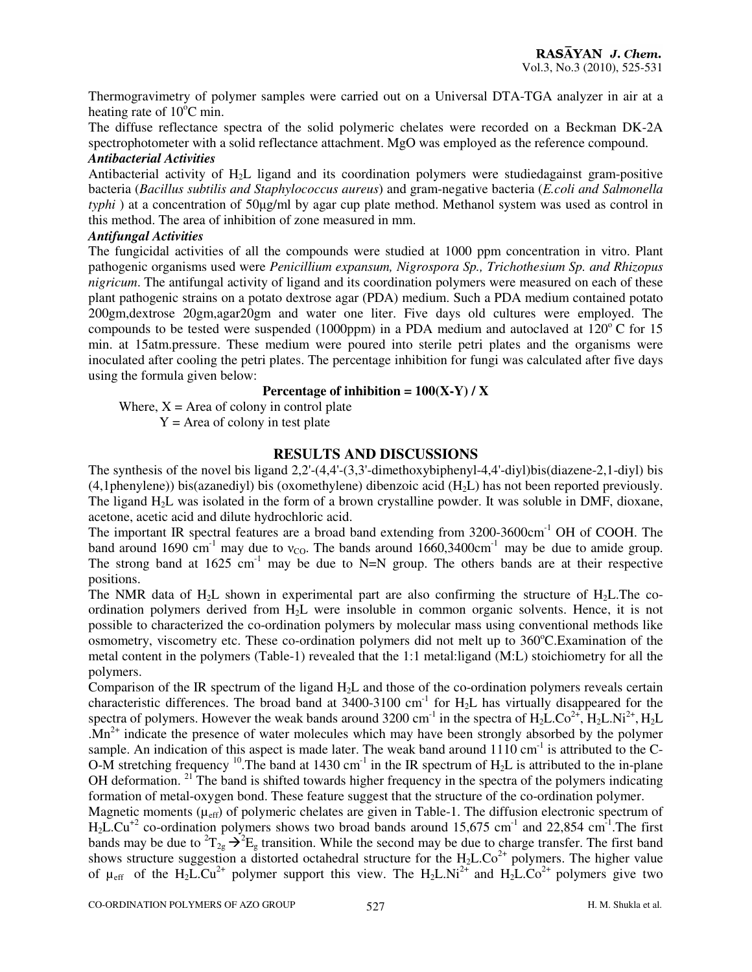Thermogravimetry of polymer samples were carried out on a Universal DTA-TGA analyzer in air at a heating rate of  $10^{\circ}$ C min.

The diffuse reflectance spectra of the solid polymeric chelates were recorded on a Beckman DK-2A spectrophotometer with a solid reflectance attachment. MgO was employed as the reference compound. *Antibacterial Activities* 

Antibacterial activity of H2L ligand and its coordination polymers were studiedagainst gram-positive bacteria (*Bacillus subtilis and Staphylococcus aureus*) and gram-negative bacteria (*E.coli and Salmonella typhi* ) at a concentration of 50µg/ml by agar cup plate method. Methanol system was used as control in this method. The area of inhibition of zone measured in mm.

#### *Antifungal Activities*

The fungicidal activities of all the compounds were studied at 1000 ppm concentration in vitro. Plant pathogenic organisms used were *Penicillium expansum, Nigrospora Sp., Trichothesium Sp. and Rhizopus nigricum*. The antifungal activity of ligand and its coordination polymers were measured on each of these plant pathogenic strains on a potato dextrose agar (PDA) medium. Such a PDA medium contained potato 200gm,dextrose 20gm,agar20gm and water one liter. Five days old cultures were employed. The compounds to be tested were suspended (1000ppm) in a PDA medium and autoclaved at  $120^{\circ}$ C for 15 min. at 15atm.pressure. These medium were poured into sterile petri plates and the organisms were inoculated after cooling the petri plates. The percentage inhibition for fungi was calculated after five days using the formula given below:

#### **Percentage of inhibition =**  $100(X-Y) / X$

Where,  $X = Area$  of colony in control plate  $Y =$  Area of colony in test plate

#### **RESULTS AND DISCUSSIONS**

The synthesis of the novel bis ligand 2,2'-(4,4'-(3,3'-dimethoxybiphenyl-4,4'-diyl)bis(diazene-2,1-diyl) bis  $(4,1$ phenylene)) bis(azanediyl) bis (oxomethylene) dibenzoic acid  $(H<sub>2</sub>L)$  has not been reported previously. The ligand H2L was isolated in the form of a brown crystalline powder. It was soluble in DMF, dioxane, acetone, acetic acid and dilute hydrochloric acid.

The important IR spectral features are a broad band extending from 3200-3600cm<sup>-1</sup> OH of COOH. The band around 1690 cm<sup>-1</sup> may due to  $v_{\text{CO}}$ . The bands around 1660,3400cm<sup>-1</sup> may be due to amide group. The strong band at  $1625 \text{ cm}^{-1}$  may be due to N=N group. The others bands are at their respective positions.

The NMR data of  $H_2L$  shown in experimental part are also confirming the structure of  $H_2L$ . The coordination polymers derived from H2L were insoluble in common organic solvents. Hence, it is not possible to characterized the co-ordination polymers by molecular mass using conventional methods like osmometry, viscometry etc. These co-ordination polymers did not melt up to 360°C.Examination of the metal content in the polymers (Table-1) revealed that the 1:1 metal:ligand (M:L) stoichiometry for all the polymers.

Comparison of the IR spectrum of the ligand  $H<sub>2</sub>L$  and those of the co-ordination polymers reveals certain characteristic differences. The broad band at 3400-3100 cm<sup>-1</sup> for H<sub>2</sub>L has virtually disappeared for the spectra of polymers. However the weak bands around 3200 cm<sup>-1</sup> in the spectra of  $H_2L$ . $Co^{2+}$ ,  $H_2L$ .Ni<sup>2+</sup>,  $H_2L$ . $Mn^{2+}$  indicate the presence of water molecules which may have been strongly absorbed by the polymer sample. An indication of this aspect is made later. The weak band around  $1110 \text{ cm}^{-1}$  is attributed to the C-O-M stretching frequency <sup>10</sup>. The band at 1430 cm<sup>-1</sup> in the IR spectrum of H<sub>2</sub>L is attributed to the in-plane OH deformation.<sup>21</sup> The band is shifted towards higher frequency in the spectra of the polymers indicating formation of metal-oxygen bond. These feature suggest that the structure of the co-ordination polymer.

Magnetic moments  $(\mu_{eff})$  of polymeric chelates are given in Table-1. The diffusion electronic spectrum of  $H<sub>2</sub>L.Cu<sup>+2</sup>$  co-ordination polymers shows two broad bands around 15,675 cm<sup>-1</sup> and 22,854 cm<sup>-1</sup>. The first bands may be due to  ${}^{2}T_{2g} \rightarrow {}^{2}E_{g}$  transition. While the second may be due to charge transfer. The first band shows structure suggestion a distorted octahedral structure for the  $H<sub>2</sub>LCo<sup>2+</sup>$  polymers. The higher value of  $\mu_{\text{eff}}$  of the H<sub>2</sub>L.Cu<sup>2+</sup> polymer support this view. The H<sub>2</sub>L.Ni<sup>2+</sup> and H<sub>2</sub>L.Co<sup>2+</sup> polymers give two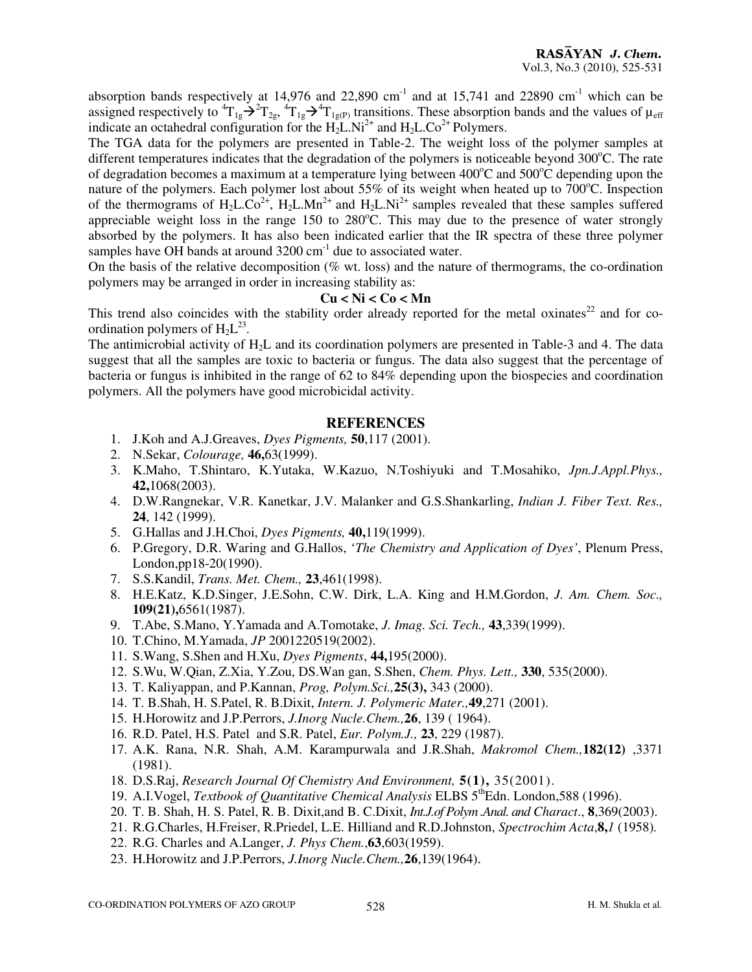absorption bands respectively at 14,976 and 22,890 cm<sup>-1</sup> and at 15,741 and 22890 cm<sup>-1</sup> which can be assigned respectively to  ${}^4T_{1g} \rightarrow {}^2T_{2g}$ ,  ${}^4T_{1g} \rightarrow {}^4T_{1g(P)}$  transitions. These absorption bands and the values of  $\mu_{eff}$ indicate an octahedral configuration for the  $H_2L.Ni^{2+}$  and  $H_2L.Co^{2+}$  Polymers.

The TGA data for the polymers are presented in Table-2. The weight loss of the polymer samples at different temperatures indicates that the degradation of the polymers is noticeable beyond  $300^{\circ}$ C. The rate of degradation becomes a maximum at a temperature lying between  $400^{\circ}$ C and  $500^{\circ}$ C depending upon the nature of the polymers. Each polymer lost about  $55\%$  of its weight when heated up to  $700^{\circ}$ C. Inspection of the thermograms of  $H_2L.Co^{2+}$ ,  $H_2L.Mn^{2+}$  and  $H_2L.Ni^{2+}$  samples revealed that these samples suffered appreciable weight loss in the range 150 to  $280^{\circ}$ C. This may due to the presence of water strongly absorbed by the polymers. It has also been indicated earlier that the IR spectra of these three polymer samples have OH bands at around  $3200 \text{ cm}^{-1}$  due to associated water.

On the basis of the relative decomposition ( $\%$  wt. loss) and the nature of thermograms, the co-ordination polymers may be arranged in order in increasing stability as:

#### **Cu < Ni < Co < Mn**

This trend also coincides with the stability order already reported for the metal oxinates<sup>22</sup> and for coordination polymers of  $H_2L^{23}$ .

The antimicrobial activity of  $H_2L$  and its coordination polymers are presented in Table-3 and 4. The data suggest that all the samples are toxic to bacteria or fungus. The data also suggest that the percentage of bacteria or fungus is inhibited in the range of 62 to 84% depending upon the biospecies and coordination polymers. All the polymers have good microbicidal activity.

#### **REFERENCES**

- 1. J.Koh and A.J.Greaves, *Dyes Pigments,* **50**,117 (2001).
- 2. N.Sekar, *Colourage,* **46,**63(1999).
- 3. K.Maho, T.Shintaro, K.Yutaka, W.Kazuo, N.Toshiyuki and T.Mosahiko, *Jpn.J.Appl.Phys.,* **42,**1068(2003).
- 4. D.W.Rangnekar, V.R. Kanetkar, J.V. Malanker and G.S.Shankarling, *Indian J. Fiber Text. Res.,* **24**, 142 (1999).
- 5. G.Hallas and J.H.Choi, *Dyes Pigments,* **40,**119(1999).
- 6. P.Gregory, D.R. Waring and G.Hallos, '*The Chemistry and Application of Dyes'*, Plenum Press, London,pp18-20(1990).
- 7. S.S.Kandil, *Trans. Met. Chem.,* **23**,461(1998).
- 8. H.E.Katz, K.D.Singer, J.E.Sohn, C.W. Dirk, L.A. King and H.M.Gordon, *J. Am. Chem. Soc.,* **109(21),**6561(1987).
- 9. T.Abe, S.Mano, Y.Yamada and A.Tomotake, *J. Imag. Sci. Tech.,* **43**,339(1999).
- 10. T.Chino, M.Yamada, *JP* 2001220519(2002).
- 11. S.Wang, S.Shen and H.Xu, *Dyes Pigments*, **44,**195(2000).
- 12. S.Wu, W.Qian, Z.Xia, Y.Zou, DS.Wan gan, S.Shen, *Chem. Phys. Lett.,* **330**, 535(2000).
- 13. T. Kaliyappan, and P.Kannan, *Prog, Polym.Sci.,***25(3),** 343 (2000).
- 14. T. B.Shah, H. S.Patel, R. B.Dixit, *Intern. J. Polymeric Mater.,***49**,271 (2001).
- 15. H.Horowitz and J.P.Perrors, *J.Inorg Nucle.Chem.,***26**, 139 ( 1964).
- 16. R.D. Patel, H.S. Patel and S.R. Patel, *Eur. Polym.J.,* **23**, 229 (1987).
- 17. A.K. Rana, N.R. Shah, A.M. Karampurwala and J.R.Shah, *Makromol Chem.,***182(12)** ,3371 (1981).
- 18. D.S.Raj, *Research Journal Of Chemistry And Environment,* **5(1),** 35(2001).
- 19. A.I.Vogel, *Textbook of Quantitative Chemical Analysis* ELBS 5<sup>th</sup>Edn. London,588 (1996).
- 20. T. B. Shah, H. S. Patel, R. B. Dixit,and B. C.Dixit, *Int.J.of Polym .Anal. and Charact*., **8**,369(2003).
- 21. R.G.Charles, H.Freiser, R.Priedel, L.E. Hilliand and R.D.Johnston, *Spectrochim Acta*,**8,***1* (1958)*.*
- 22. R.G. Charles and A.Langer, *J. Phys Chem.*,**63**,603(1959).
- 23. H.Horowitz and J.P.Perrors, *J.Inorg Nucle.Chem.,***26**,139(1964).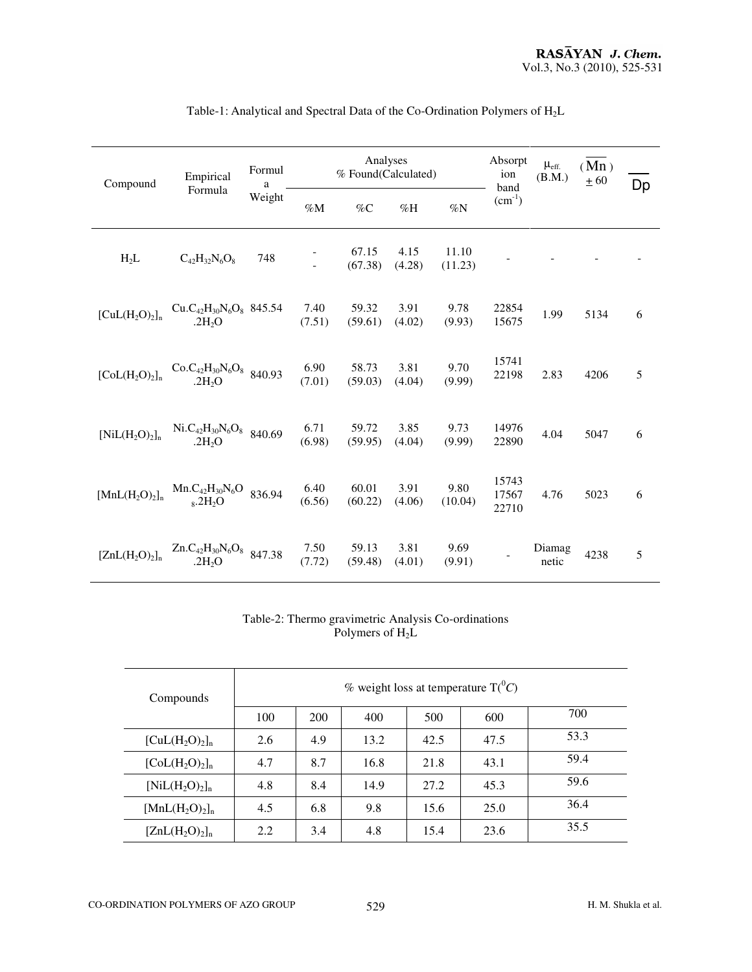| Compound       | Empirical                                                                                     | Formul<br>a<br>Weight | Analyses<br>% Found(Calculated) |                  |                | Absorpt<br>ion<br>band | $\mu_{\rm eff.}$<br>(B.M.) | (Mn)<br>$+60$   | Dp   |   |
|----------------|-----------------------------------------------------------------------------------------------|-----------------------|---------------------------------|------------------|----------------|------------------------|----------------------------|-----------------|------|---|
|                | Formula                                                                                       |                       | $\% \mathbf{M}$                 | $\%C$            | %H             | $\%N$                  | $(cm^{-1})$                |                 |      |   |
| $H_2L$         | $C_{42}H_{32}N_6O_8$                                                                          | 748                   |                                 | 67.15<br>(67.38) | 4.15<br>(4.28) | 11.10<br>(11.23)       |                            |                 |      |   |
| $[CuL(H2O)2]n$ | $\begin{array}{cc} Cu.C_{42}H_{30}N_6O_8 & 845.54 \\ .2H_2O \end{array}$                      |                       | 7.40<br>(7.51)                  | 59.32<br>(59.61) | 3.91<br>(4.02) | 9.78<br>(9.93)         | 22854<br>15675             | 1.99            | 5134 | 6 |
| $[CoL(H2O)2]n$ | $Co.C_{42}H_{30}N_6O_8$ 840.93<br>.2H <sub>2</sub> O                                          |                       | 6.90<br>(7.01)                  | 58.73<br>(59.03) | 3.81<br>(4.04) | 9.70<br>(9.99)         | 15741<br>22198             | 2.83            | 4206 | 5 |
| $[NiL(H2O)2]n$ | Ni.C <sub>42</sub> H <sub>30</sub> N <sub>6</sub> O <sub>8</sub> 840.69<br>.2H <sub>2</sub> O |                       | 6.71<br>(6.98)                  | 59.72<br>(59.95) | 3.85<br>(4.04) | 9.73<br>(9.99)         | 14976<br>22890             | 4.04            | 5047 | 6 |
| $[MnL(H2O)2]n$ | $Mn.C_{42}H_{30}N_6O$<br>$8.2H_2O$                                                            | 836.94                | 6.40<br>(6.56)                  | 60.01<br>(60.22) | 3.91<br>(4.06) | 9.80<br>(10.04)        | 15743<br>17567<br>22710    | 4.76            | 5023 | 6 |
| $[ZnL(H2O)2]n$ | $Zn.C_{42}H_{30}N_6O_8$ 847.38<br>.2H <sub>2</sub> O                                          |                       | 7.50<br>(7.72)                  | 59.13<br>(59.48) | 3.81<br>(4.01) | 9.69<br>(9.91)         |                            | Diamag<br>netic | 4238 | 5 |

#### Table-1: Analytical and Spectral Data of the Co-Ordination Polymers of H<sub>2</sub>L

Table-2: Thermo gravimetric Analysis Co-ordinations Polymers of H<sub>2</sub>L

| Compounds                   | % weight loss at temperature $T({}^0C)$ |     |      |      |      |      |  |
|-----------------------------|-----------------------------------------|-----|------|------|------|------|--|
|                             | 100                                     | 200 | 400  | 500  | 600  | 700  |  |
| $[CuL(H2O)2]n$              | 2.6                                     | 4.9 | 13.2 | 42.5 | 47.5 | 53.3 |  |
| $[CoL(H2O)2]n$              | 4.7                                     | 8.7 | 16.8 | 21.8 | 43.1 | 59.4 |  |
| $[NiL(H_2O)_2]_n$           | 4.8                                     | 8.4 | 14.9 | 27.2 | 45.3 | 59.6 |  |
| $[MnL(H_2O)2]$ <sub>n</sub> | 4.5                                     | 6.8 | 9.8  | 15.6 | 25.0 | 36.4 |  |
| $[ZnL(H_2O)_2]_n$           | 2.2                                     | 3.4 | 4.8  | 15.4 | 23.6 | 35.5 |  |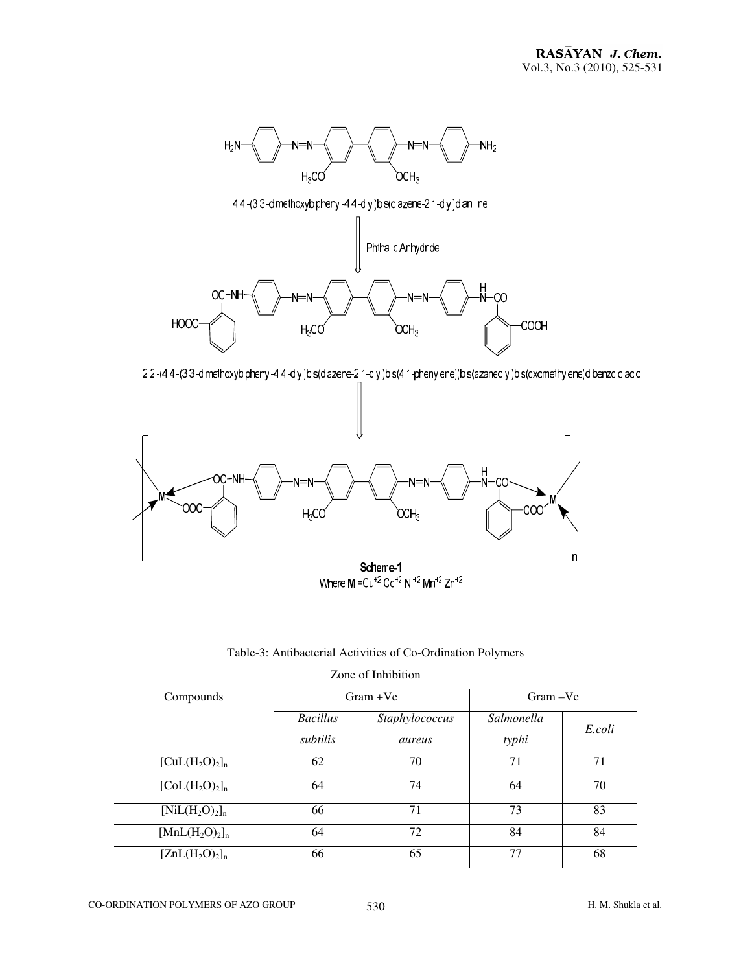

4 4-(3 3-d methoxyb pheny-4 4-d y )b s(d azene-2 1-d y )d an ine



2 2 - (4 4 - (3 3 - d methcxyb pheny -4 4 -d y ) b s(d azene-2 '-d y ) b s(4 '-pheny ene)) b s(azaned y ) b s(cxcmethy ene) d benzc c ac d



| Zone of Inhibition |                 |                |             |        |  |  |  |
|--------------------|-----------------|----------------|-------------|--------|--|--|--|
| Compounds          |                 | $Gram + Ve$    | $Gram - Ve$ |        |  |  |  |
|                    | <b>Bacillus</b> | Staphylococcus | Salmonella  | E.coli |  |  |  |
|                    | subtilis        | aureus         | typhi       |        |  |  |  |
| $[CuL(H2O)2]n$     | 62              | 70             | 71          | 71     |  |  |  |
| $[Col(H_2O)_2]_n$  | 64              | 74             | 64          | 70     |  |  |  |
| $[NiL(H2O)2]n$     | 66              | 71             | 73          | 83     |  |  |  |
| $[MnL(H2O)2]n$     | 64              | 72             | 84          | 84     |  |  |  |
| $[ZnL(H_2O)_2]_n$  | 66              | 65             | 77          | 68     |  |  |  |

 $\overline{a}$